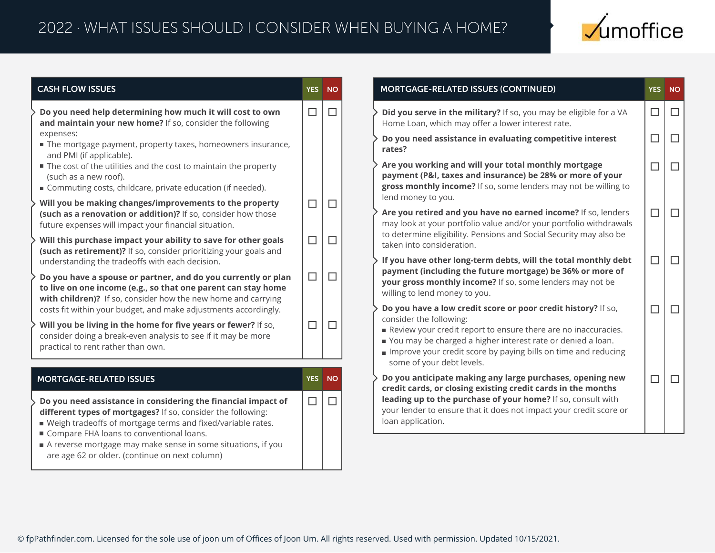

| <b>CASH FLOW ISSUES</b>                                                                                                                                                                                                                                                                                    | <b>YES</b> | <b>NO</b>                | MORTGAGE-RELATED ISSUES (CONTINUED)                                                                                                                                                                                                                                                                                      |  |  |
|------------------------------------------------------------------------------------------------------------------------------------------------------------------------------------------------------------------------------------------------------------------------------------------------------------|------------|--------------------------|--------------------------------------------------------------------------------------------------------------------------------------------------------------------------------------------------------------------------------------------------------------------------------------------------------------------------|--|--|
| Do you need help determining how much it will cost to own<br>and maintain your new home? If so, consider the following                                                                                                                                                                                     | $\Box$     | $\overline{\phantom{a}}$ | Did you serve in the military? If so, you may be eligible for a VA<br>Home Loan, which may offer a lower interest rate.                                                                                                                                                                                                  |  |  |
| expenses:<br>■ The mortgage payment, property taxes, homeowners insurance,                                                                                                                                                                                                                                 |            |                          | Do you need assistance in evaluating competitive interest<br>rates?                                                                                                                                                                                                                                                      |  |  |
| and PMI (if applicable).<br>■ The cost of the utilities and the cost to maintain the property<br>(such as a new roof).<br>Commuting costs, childcare, private education (if needed).                                                                                                                       |            |                          | Are you working and will your total monthly mortgage<br>payment (P&I, taxes and insurance) be 28% or more of your<br>gross monthly income? If so, some lenders may not be willing to                                                                                                                                     |  |  |
| Will you be making changes/improvements to the property<br>(such as a renovation or addition)? If so, consider how those<br>future expenses will impact your financial situation.                                                                                                                          | $\Box$     | П                        | lend money to you.<br>Are you retired and you have no earned income? If so, lenders<br>may look at your portfolio value and/or your portfolio withdrawals                                                                                                                                                                |  |  |
| Will this purchase impact your ability to save for other goals<br>(such as retirement)? If so, consider prioritizing your goals and                                                                                                                                                                        | $\Box$     | $\Box$                   | to determine eligibility. Pensions and Social Security may also be<br>taken into consideration.<br>If you have other long-term debts, will the total monthly debt                                                                                                                                                        |  |  |
| understanding the tradeoffs with each decision.<br>Do you have a spouse or partner, and do you currently or plan<br>to live on one income (e.g., so that one parent can stay home                                                                                                                          | $\Box$     | Ш                        | payment (including the future mortgage) be 36% or more of<br>your gross monthly income? If so, some lenders may not be<br>willing to lend money to you.                                                                                                                                                                  |  |  |
| with children)? If so, consider how the new home and carrying<br>costs fit within your budget, and make adjustments accordingly.<br>Will you be living in the home for five years or fewer? If so,<br>consider doing a break-even analysis to see if it may be more<br>practical to rent rather than own.  | $\Box$     | $\mathbf{L}$             | Do you have a low credit score or poor credit history? If so,<br>consider the following:<br>Review your credit report to ensure there are no inaccuracies.<br>You may be charged a higher interest rate or denied a loan.<br>Improve your credit score by paying bills on time and reducing<br>some of your debt levels. |  |  |
| <b>MORTGAGE-RELATED ISSUES</b>                                                                                                                                                                                                                                                                             | <b>YES</b> | <b>NO</b>                | Do you anticipate making any large purchases, opening new<br>credit cards, or closing existing credit cards in the months                                                                                                                                                                                                |  |  |
| Do you need assistance in considering the financial impact of<br>different types of mortgages? If so, consider the following:<br>■ Weigh tradeoffs of mortgage terms and fixed/variable rates.<br>Compare FHA loans to conventional loans.<br>A reverse mortgage may make sense in some situations, if you | $\Box$     | П                        | leading up to the purchase of your home? If so, consult with<br>your lender to ensure that it does not impact your credit score or<br>loan application.                                                                                                                                                                  |  |  |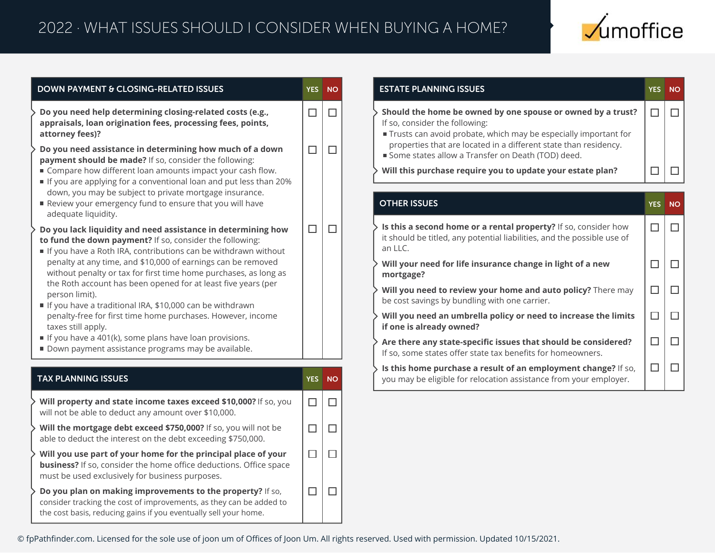

| <b>DOWN PAYMENT &amp; CLOSING-RELATED ISSUES</b>                                                                                                                                                                                                                                                                                                                                                                                                                                                                                                                                                                                                                                   | <b>YES</b> | <b>NO</b> |
|------------------------------------------------------------------------------------------------------------------------------------------------------------------------------------------------------------------------------------------------------------------------------------------------------------------------------------------------------------------------------------------------------------------------------------------------------------------------------------------------------------------------------------------------------------------------------------------------------------------------------------------------------------------------------------|------------|-----------|
| Do you need help determining closing-related costs (e.g.,<br>appraisals, loan origination fees, processing fees, points,<br>attorney fees)?                                                                                                                                                                                                                                                                                                                                                                                                                                                                                                                                        | П          | П         |
| Do you need assistance in determining how much of a down<br>payment should be made? If so, consider the following:<br>■ Compare how different loan amounts impact your cash flow.<br>If you are applying for a conventional loan and put less than 20%<br>down, you may be subject to private mortgage insurance.<br>Review your emergency fund to ensure that you will have<br>adequate liquidity.                                                                                                                                                                                                                                                                                | П          | $\Box$    |
| Do you lack liquidity and need assistance in determining how<br>to fund the down payment? If so, consider the following:<br>If you have a Roth IRA, contributions can be withdrawn without<br>penalty at any time, and \$10,000 of earnings can be removed<br>without penalty or tax for first time home purchases, as long as<br>the Roth account has been opened for at least five years (per<br>person limit).<br>If you have a traditional IRA, \$10,000 can be withdrawn<br>penalty-free for first time home purchases. However, income<br>taxes still apply.<br>If you have a 401(k), some plans have loan provisions.<br>Down payment assistance programs may be available. |            | П         |
| <b>TAX PLANNING ISSUES</b>                                                                                                                                                                                                                                                                                                                                                                                                                                                                                                                                                                                                                                                         | <b>YES</b> | <b>NO</b> |
| Will property and state income taxes exceed \$10,000? If so, you<br>will not be able to deduct any amount over \$10,000.                                                                                                                                                                                                                                                                                                                                                                                                                                                                                                                                                           | П          | П         |
| Will the mortgage debt exceed \$750,000? If so, you will not be<br>able to deduct the interest on the debt exceeding \$750,000.                                                                                                                                                                                                                                                                                                                                                                                                                                                                                                                                                    | П          | П         |
| Will you use part of your home for the principal place of your<br><b>business?</b> If so, consider the home office deductions. Office space<br>must be used exclusively for business purposes.                                                                                                                                                                                                                                                                                                                                                                                                                                                                                     | П          | П         |
| Do you plan on making improvements to the property? If so,<br>consider tracking the cost of improvements, as they can be added to<br>the cost basis, reducing gains if you eventually sell your home.                                                                                                                                                                                                                                                                                                                                                                                                                                                                              | $\Box$     | П         |

| <b>ESTATE PLANNING ISSUES</b>                                                                                                                                                                                                                                                             |            |           |  |
|-------------------------------------------------------------------------------------------------------------------------------------------------------------------------------------------------------------------------------------------------------------------------------------------|------------|-----------|--|
| Should the home be owned by one spouse or owned by a trust?<br>If so, consider the following:<br>Trusts can avoid probate, which may be especially important for<br>properties that are located in a different state than residency.<br>Some states allow a Transfer on Death (TOD) deed. |            |           |  |
| Will this purchase require you to update your estate plan?                                                                                                                                                                                                                                |            |           |  |
| <b>OTHER ISSUES</b>                                                                                                                                                                                                                                                                       | <b>YES</b> | <b>NO</b> |  |
| Is this a second home or a rental property? If so, consider how<br>it should be titled, any potential liabilities, and the possible use of<br>an LLC.                                                                                                                                     |            |           |  |
| Will your need for life insurance change in light of a new<br>mortgage?                                                                                                                                                                                                                   |            |           |  |
| Will you need to review your home and auto policy? There may<br>be cost savings by bundling with one carrier.                                                                                                                                                                             |            |           |  |
| Will you need an umbrella policy or need to increase the limits<br>if one is already owned?                                                                                                                                                                                               |            |           |  |
| Are there any state-specific issues that should be considered?<br>If so, some states offer state tax benefits for homeowners.                                                                                                                                                             |            |           |  |
| Is this home purchase a result of an employment change? If so,<br>you may be eligible for relocation assistance from your employer.                                                                                                                                                       |            |           |  |

© fpPathfinder.com. Licensed for the sole use of joon um of Offices of Joon Um. All rights reserved. Used with permission. Updated 10/15/2021.